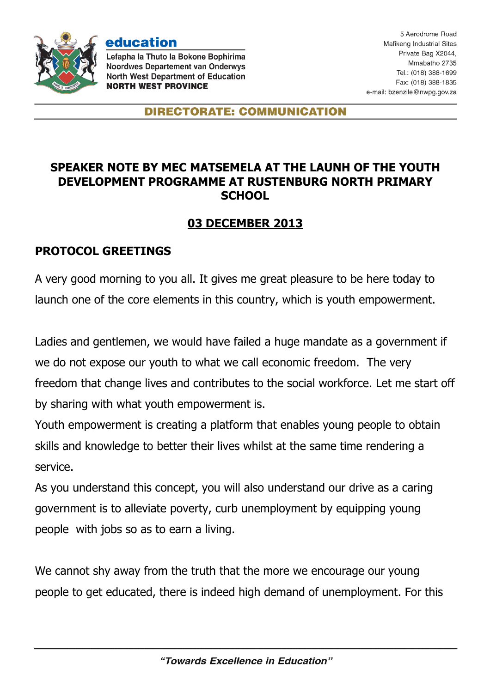

education Lefapha la Thuto la Bokone Bophirima **Noordwes Departement van Onderwys North West Department of Education** 

**NORTH WEST PROVINCE** 

**DIRECTORATE: COMMUNICATION** 

## **SPEAKER NOTE BY MEC MATSEMELA AT THE LAUNH OF THE YOUTH DEVELOPMENT PROGRAMME AT RUSTENBURG NORTH PRIMARY SCHOOL**

## **03 DECEMBER 2013**

## **PROTOCOL GREETINGS**

A very good morning to you all. It gives me great pleasure to be here today to launch one of the core elements in this country, which is youth empowerment.

Ladies and gentlemen, we would have failed a huge mandate as a government if we do not expose our youth to what we call economic freedom. The very freedom that change lives and contributes to the social workforce. Let me start off by sharing with what youth empowerment is.

Youth empowerment is creating a platform that enables young people to obtain skills and knowledge to better their lives whilst at the same time rendering a service.

As you understand this concept, you will also understand our drive as a caring government is to alleviate poverty, curb unemployment by equipping young people with jobs so as to earn a living.

We cannot shy away from the truth that the more we encourage our young people to get educated, there is indeed high demand of unemployment. For this